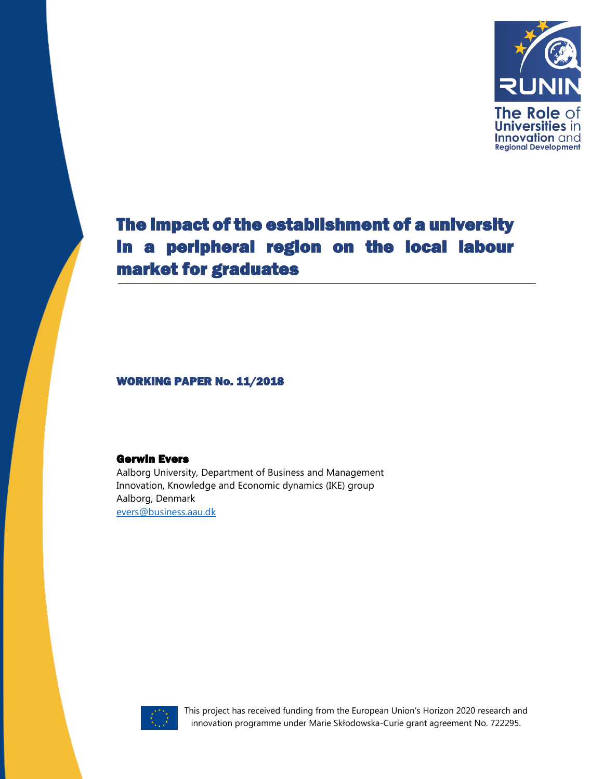

WORKING PAPER No. 11/2018

#### Gerwin Evers

Aalborg University, Department of Business and Management Innovation, Knowledge and Economic dynamics (IKE) group Aalborg, Denmark [evers@business.aau.dk](mailto:evers@business.aau.dk)



This project has received funding from the European Union's Horizon 2020 research and innovation programme under Marie Skłodowska-Curie grant agreement No. 722295.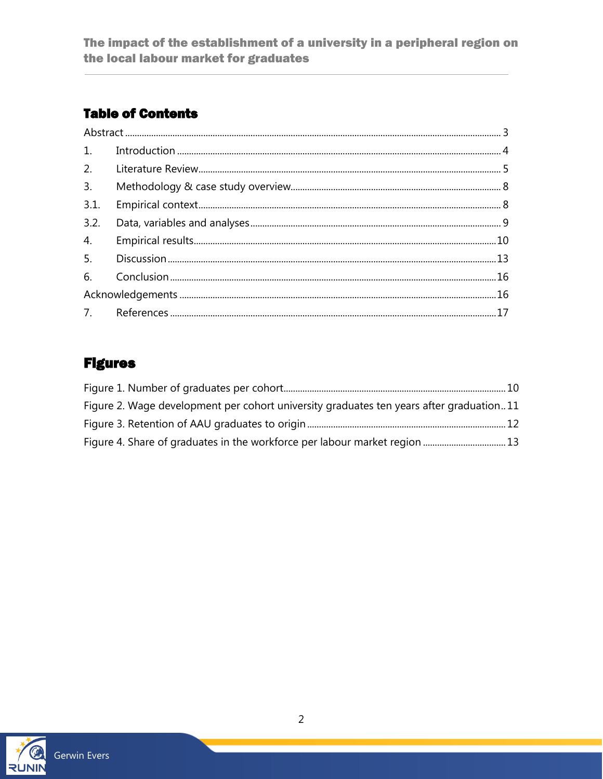# **Table of Contents**

| 1.   |  |  |
|------|--|--|
| 2.   |  |  |
| 3.   |  |  |
| 3.1. |  |  |
| 3.2. |  |  |
| 4.   |  |  |
| 5.   |  |  |
|      |  |  |
|      |  |  |
|      |  |  |

# **Figures**

| Figure 2. Wage development per cohort university graduates ten years after graduation11 |  |
|-----------------------------------------------------------------------------------------|--|
|                                                                                         |  |
|                                                                                         |  |

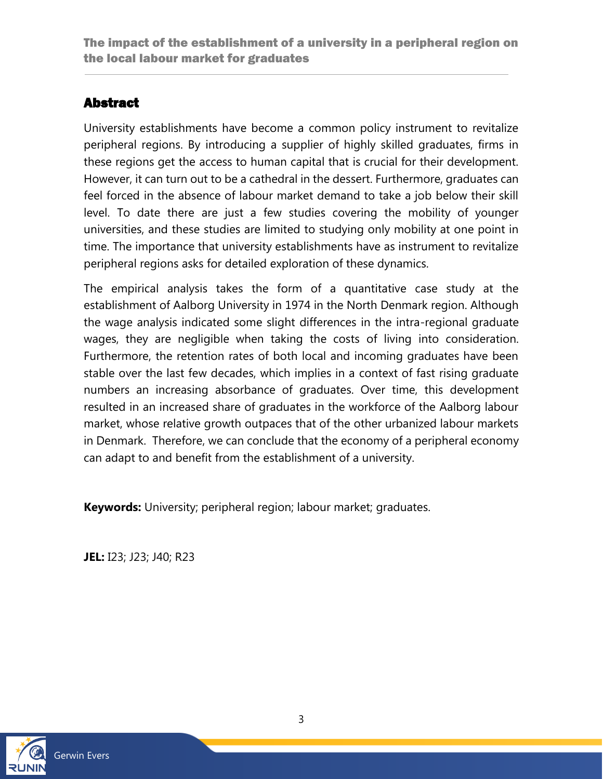### <span id="page-2-0"></span>Abstract

University establishments have become a common policy instrument to revitalize peripheral regions. By introducing a supplier of highly skilled graduates, firms in these regions get the access to human capital that is crucial for their development. However, it can turn out to be a cathedral in the dessert. Furthermore, graduates can feel forced in the absence of labour market demand to take a job below their skill level. To date there are just a few studies covering the mobility of younger universities, and these studies are limited to studying only mobility at one point in time. The importance that university establishments have as instrument to revitalize peripheral regions asks for detailed exploration of these dynamics.

The empirical analysis takes the form of a quantitative case study at the establishment of Aalborg University in 1974 in the North Denmark region. Although the wage analysis indicated some slight differences in the intra-regional graduate wages, they are negligible when taking the costs of living into consideration. Furthermore, the retention rates of both local and incoming graduates have been stable over the last few decades, which implies in a context of fast rising graduate numbers an increasing absorbance of graduates. Over time, this development resulted in an increased share of graduates in the workforce of the Aalborg labour market, whose relative growth outpaces that of the other urbanized labour markets in Denmark. Therefore, we can conclude that the economy of a peripheral economy can adapt to and benefit from the establishment of a university.

**Keywords:** University; peripheral region; labour market; graduates.

**JEL:** I23; J23; J40; R23

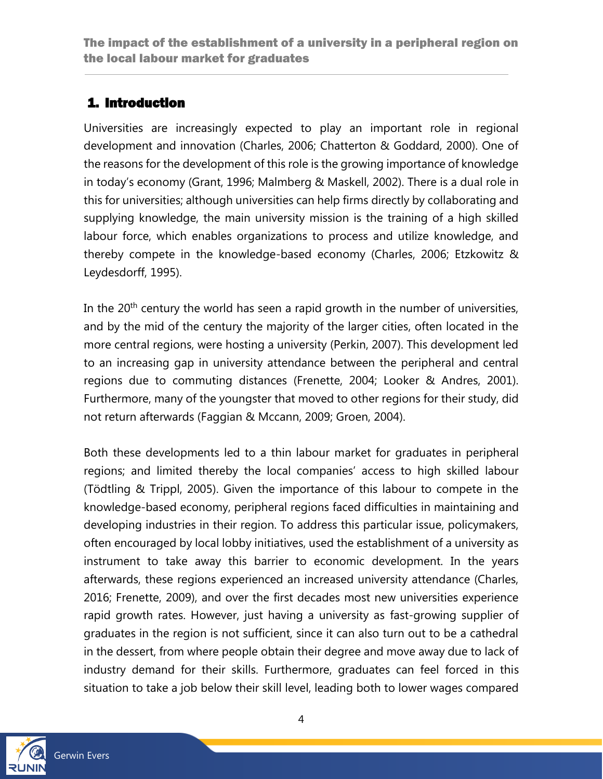# <span id="page-3-0"></span>1. Introduction

Universities are increasingly expected to play an important role in regional development and innovation (Charles, 2006; Chatterton & Goddard, 2000). One of the reasons for the development of this role is the growing importance of knowledge in today's economy (Grant, 1996; Malmberg & Maskell, 2002). There is a dual role in this for universities; although universities can help firms directly by collaborating and supplying knowledge, the main university mission is the training of a high skilled labour force, which enables organizations to process and utilize knowledge, and thereby compete in the knowledge-based economy (Charles, 2006; Etzkowitz & Leydesdorff, 1995).

In the 20<sup>th</sup> century the world has seen a rapid growth in the number of universities, and by the mid of the century the majority of the larger cities, often located in the more central regions, were hosting a university (Perkin, 2007). This development led to an increasing gap in university attendance between the peripheral and central regions due to commuting distances (Frenette, 2004; Looker & Andres, 2001). Furthermore, many of the youngster that moved to other regions for their study, did not return afterwards (Faggian & Mccann, 2009; Groen, 2004).

Both these developments led to a thin labour market for graduates in peripheral regions; and limited thereby the local companies' access to high skilled labour (Tödtling & Trippl, 2005). Given the importance of this labour to compete in the knowledge-based economy, peripheral regions faced difficulties in maintaining and developing industries in their region. To address this particular issue, policymakers, often encouraged by local lobby initiatives, used the establishment of a university as instrument to take away this barrier to economic development. In the years afterwards, these regions experienced an increased university attendance (Charles, 2016; Frenette, 2009), and over the first decades most new universities experience rapid growth rates. However, just having a university as fast-growing supplier of graduates in the region is not sufficient, since it can also turn out to be a cathedral in the dessert, from where people obtain their degree and move away due to lack of industry demand for their skills. Furthermore, graduates can feel forced in this situation to take a job below their skill level, leading both to lower wages compared

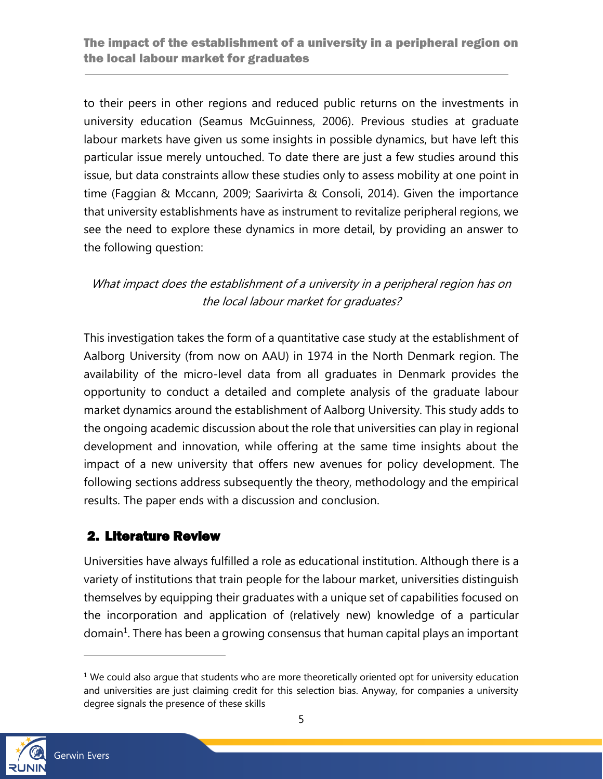to their peers in other regions and reduced public returns on the investments in university education (Seamus McGuinness, 2006). Previous studies at graduate labour markets have given us some insights in possible dynamics, but have left this particular issue merely untouched. To date there are just a few studies around this issue, but data constraints allow these studies only to assess mobility at one point in time (Faggian & Mccann, 2009; Saarivirta & Consoli, 2014). Given the importance that university establishments have as instrument to revitalize peripheral regions, we see the need to explore these dynamics in more detail, by providing an answer to the following question:

# What impact does the establishment of a university in a peripheral region has on the local labour market for graduates?

This investigation takes the form of a quantitative case study at the establishment of Aalborg University (from now on AAU) in 1974 in the North Denmark region. The availability of the micro-level data from all graduates in Denmark provides the opportunity to conduct a detailed and complete analysis of the graduate labour market dynamics around the establishment of Aalborg University. This study adds to the ongoing academic discussion about the role that universities can play in regional development and innovation, while offering at the same time insights about the impact of a new university that offers new avenues for policy development. The following sections address subsequently the theory, methodology and the empirical results. The paper ends with a discussion and conclusion.

# <span id="page-4-0"></span>2. Literature Review

Universities have always fulfilled a role as educational institution. Although there is a variety of institutions that train people for the labour market, universities distinguish themselves by equipping their graduates with a unique set of capabilities focused on the incorporation and application of (relatively new) knowledge of a particular domain<sup>1</sup>. There has been a growing consensus that human capital plays an important

 $<sup>1</sup>$  We could also argue that students who are more theoretically oriented opt for university education</sup> and universities are just claiming credit for this selection bias. Anyway, for companies a university degree signals the presence of these skills

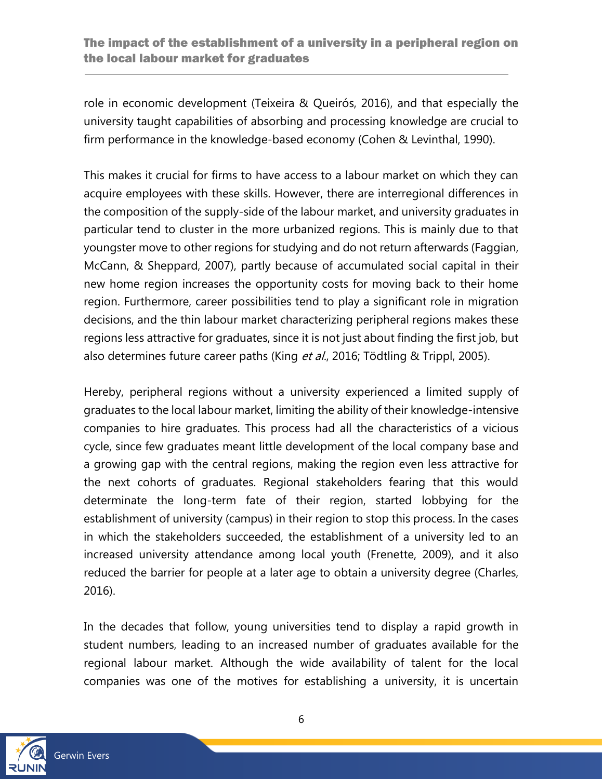role in economic development (Teixeira & Queirós, 2016), and that especially the university taught capabilities of absorbing and processing knowledge are crucial to firm performance in the knowledge-based economy (Cohen & Levinthal, 1990).

This makes it crucial for firms to have access to a labour market on which they can acquire employees with these skills. However, there are interregional differences in the composition of the supply-side of the labour market, and university graduates in particular tend to cluster in the more urbanized regions. This is mainly due to that youngster move to other regions for studying and do not return afterwards (Faggian, McCann, & Sheppard, 2007), partly because of accumulated social capital in their new home region increases the opportunity costs for moving back to their home region. Furthermore, career possibilities tend to play a significant role in migration decisions, and the thin labour market characterizing peripheral regions makes these regions less attractive for graduates, since it is not just about finding the first job, but also determines future career paths (King et al., 2016; Tödtling & Trippl, 2005).

Hereby, peripheral regions without a university experienced a limited supply of graduates to the local labour market, limiting the ability of their knowledge-intensive companies to hire graduates. This process had all the characteristics of a vicious cycle, since few graduates meant little development of the local company base and a growing gap with the central regions, making the region even less attractive for the next cohorts of graduates. Regional stakeholders fearing that this would determinate the long-term fate of their region, started lobbying for the establishment of university (campus) in their region to stop this process. In the cases in which the stakeholders succeeded, the establishment of a university led to an increased university attendance among local youth (Frenette, 2009), and it also reduced the barrier for people at a later age to obtain a university degree (Charles, 2016).

In the decades that follow, young universities tend to display a rapid growth in student numbers, leading to an increased number of graduates available for the regional labour market. Although the wide availability of talent for the local companies was one of the motives for establishing a university, it is uncertain

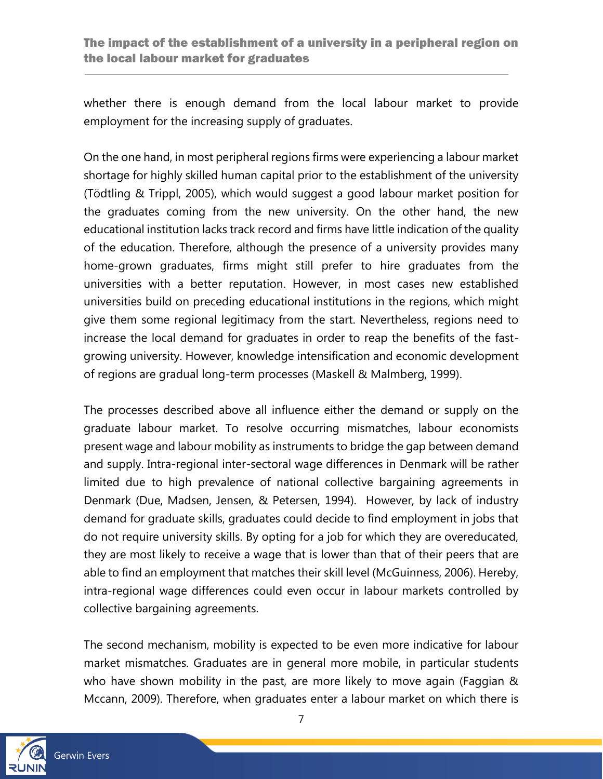whether there is enough demand from the local labour market to provide employment for the increasing supply of graduates.

On the one hand, in most peripheral regions firms were experiencing a labour market shortage for highly skilled human capital prior to the establishment of the university (Tödtling & Trippl, 2005), which would suggest a good labour market position for the graduates coming from the new university. On the other hand, the new educational institution lacks track record and firms have little indication of the quality of the education. Therefore, although the presence of a university provides many home-grown graduates, firms might still prefer to hire graduates from the universities with a better reputation. However, in most cases new established universities build on preceding educational institutions in the regions, which might give them some regional legitimacy from the start. Nevertheless, regions need to increase the local demand for graduates in order to reap the benefits of the fastgrowing university. However, knowledge intensification and economic development of regions are gradual long-term processes (Maskell & Malmberg, 1999).

The processes described above all influence either the demand or supply on the graduate labour market. To resolve occurring mismatches, labour economists present wage and labour mobility as instruments to bridge the gap between demand and supply. Intra-regional inter-sectoral wage differences in Denmark will be rather limited due to high prevalence of national collective bargaining agreements in Denmark (Due, Madsen, Jensen, & Petersen, 1994). However, by lack of industry demand for graduate skills, graduates could decide to find employment in jobs that do not require university skills. By opting for a job for which they are overeducated, they are most likely to receive a wage that is lower than that of their peers that are able to find an employment that matches their skill level (McGuinness, 2006). Hereby, intra-regional wage differences could even occur in labour markets controlled by collective bargaining agreements.

The second mechanism, mobility is expected to be even more indicative for labour market mismatches. Graduates are in general more mobile, in particular students who have shown mobility in the past, are more likely to move again (Faggian & Mccann, 2009). Therefore, when graduates enter a labour market on which there is

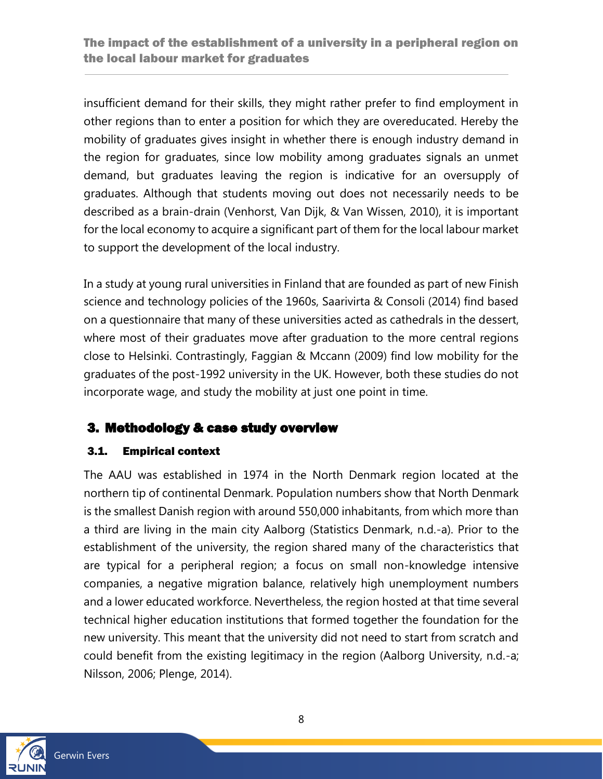insufficient demand for their skills, they might rather prefer to find employment in other regions than to enter a position for which they are overeducated. Hereby the mobility of graduates gives insight in whether there is enough industry demand in the region for graduates, since low mobility among graduates signals an unmet demand, but graduates leaving the region is indicative for an oversupply of graduates. Although that students moving out does not necessarily needs to be described as a brain-drain (Venhorst, Van Dijk, & Van Wissen, 2010), it is important for the local economy to acquire a significant part of them for the local labour market to support the development of the local industry.

In a study at young rural universities in Finland that are founded as part of new Finish science and technology policies of the 1960s, Saarivirta & Consoli (2014) find based on a questionnaire that many of these universities acted as cathedrals in the dessert, where most of their graduates move after graduation to the more central regions close to Helsinki. Contrastingly, Faggian & Mccann (2009) find low mobility for the graduates of the post-1992 university in the UK. However, both these studies do not incorporate wage, and study the mobility at just one point in time.

# <span id="page-7-0"></span>3. Methodology & case study overview

### <span id="page-7-1"></span>3.1. Empirical context

The AAU was established in 1974 in the North Denmark region located at the northern tip of continental Denmark. Population numbers show that North Denmark is the smallest Danish region with around 550,000 inhabitants, from which more than a third are living in the main city Aalborg (Statistics Denmark, n.d.-a). Prior to the establishment of the university, the region shared many of the characteristics that are typical for a peripheral region; a focus on small non-knowledge intensive companies, a negative migration balance, relatively high unemployment numbers and a lower educated workforce. Nevertheless, the region hosted at that time several technical higher education institutions that formed together the foundation for the new university. This meant that the university did not need to start from scratch and could benefit from the existing legitimacy in the region (Aalborg University, n.d.-a; Nilsson, 2006; Plenge, 2014).

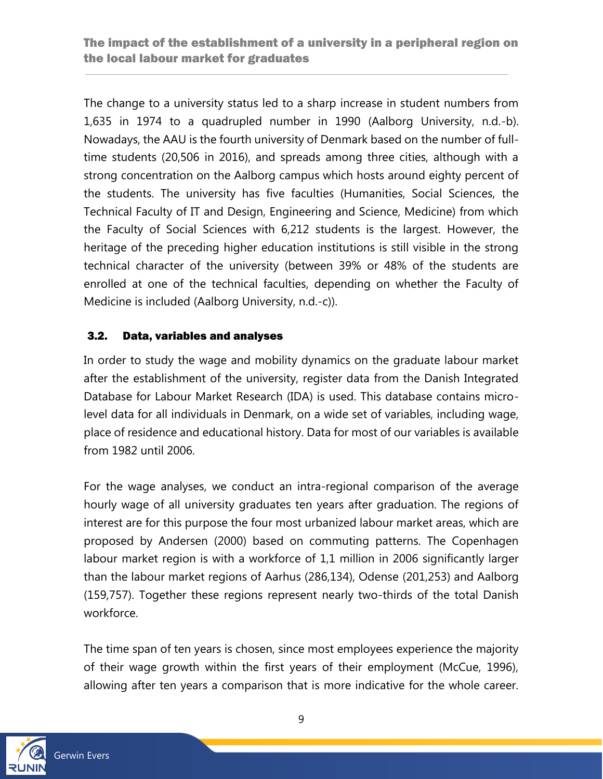The change to a university status led to a sharp increase in student numbers from 1,635 in 1974 to a quadrupled number in 1990 (Aalborg University, n.d.-b). Nowadays, the AAU is the fourth university of Denmark based on the number of fulltime students (20,506 in 2016), and spreads among three cities, although with a strong concentration on the Aalborg campus which hosts around eighty percent of the students. The university has five faculties (Humanities, Social Sciences, the Technical Faculty of IT and Design, Engineering and Science, Medicine) from which the Faculty of Social Sciences with 6,212 students is the largest. However, the heritage of the preceding higher education institutions is still visible in the strong technical character of the university (between 39% or 48% of the students are enrolled at one of the technical faculties, depending on whether the Faculty of Medicine is included (Aalborg University, n.d.-c)).

### <span id="page-8-0"></span>3.2. Data, variables and analyses

In order to study the wage and mobility dynamics on the graduate labour market after the establishment of the university, register data from the Danish Integrated Database for Labour Market Research (IDA) is used. This database contains microlevel data for all individuals in Denmark, on a wide set of variables, including wage, place of residence and educational history. Data for most of our variables is available from 1982 until 2006.

For the wage analyses, we conduct an intra-regional comparison of the average hourly wage of all university graduates ten years after graduation. The regions of interest are for this purpose the four most urbanized labour market areas, which are proposed by Andersen (2000) based on commuting patterns. The Copenhagen labour market region is with a workforce of 1,1 million in 2006 significantly larger than the labour market regions of Aarhus (286,134), Odense (201,253) and Aalborg (159,757). Together these regions represent nearly two-thirds of the total Danish workforce.

The time span of ten years is chosen, since most employees experience the majority of their wage growth within the first years of their employment (McCue, 1996), allowing after ten years a comparison that is more indicative for the whole career.



9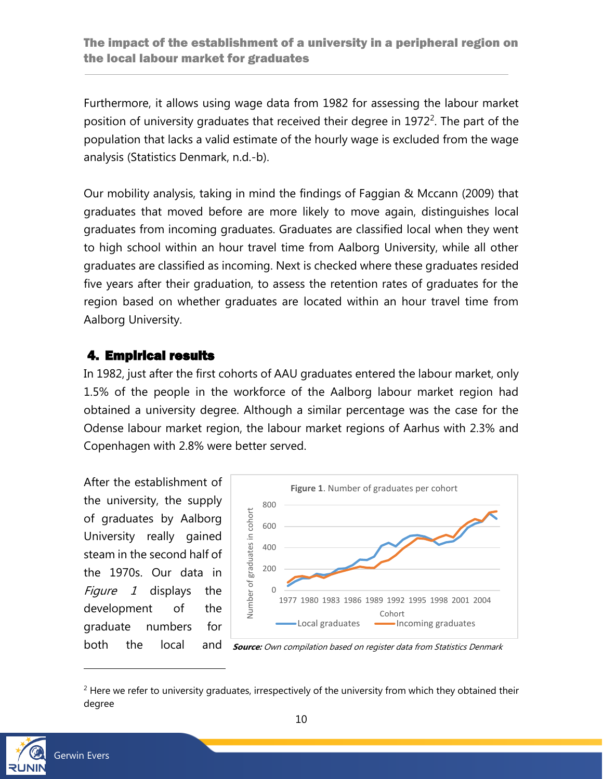Furthermore, it allows using wage data from 1982 for assessing the labour market position of university graduates that received their degree in  $1972<sup>2</sup>$ . The part of the population that lacks a valid estimate of the hourly wage is excluded from the wage analysis (Statistics Denmark, n.d.-b).

Our mobility analysis, taking in mind the findings of Faggian & Mccann (2009) that graduates that moved before are more likely to move again, distinguishes local graduates from incoming graduates. Graduates are classified local when they went to high school within an hour travel time from Aalborg University, while all other graduates are classified as incoming. Next is checked where these graduates resided five years after their graduation, to assess the retention rates of graduates for the region based on whether graduates are located within an hour travel time from Aalborg University.

# <span id="page-9-0"></span>4. Empirical results

In 1982, just after the first cohorts of AAU graduates entered the labour market, only 1.5% of the people in the workforce of the Aalborg labour market region had obtained a university degree. Although a similar percentage was the case for the Odense labour market region, the labour market regions of Aarhus with 2.3% and Copenhagen with 2.8% were better served.

After the establishment of the university, the supply of graduates by Aalborg University really gained steam in the second half of the 1970s. Our data in Figure 1 displays the development of the graduate numbers for both the local and



**Source:** Own compilation based on register data from Statistics Denmark

 $<sup>2</sup>$  Here we refer to university graduates, irrespectively of the university from which they obtained their</sup> degree



l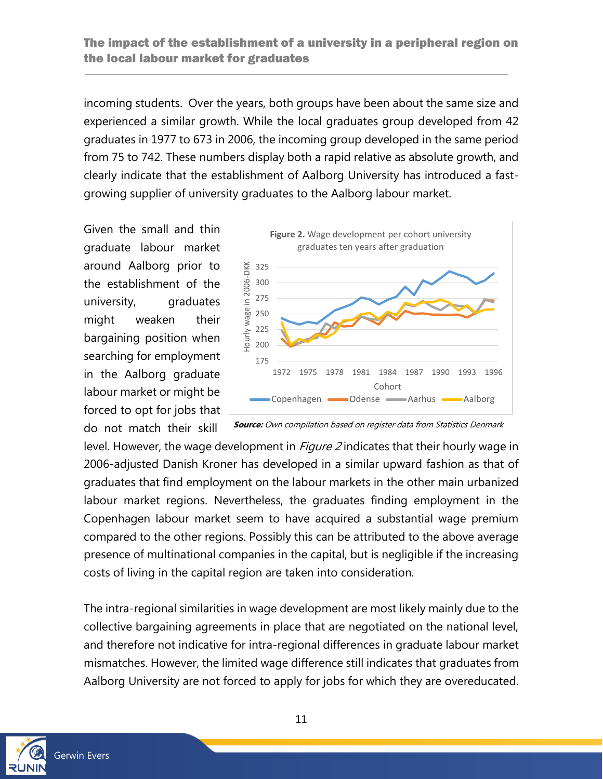incoming students. Over the years, both groups have been about the same size and experienced a similar growth. While the local graduates group developed from 42 graduates in 1977 to 673 in 2006, the incoming group developed in the same period from 75 to 742. These numbers display both a rapid relative as absolute growth, and clearly indicate that the establishment of Aalborg University has introduced a fastgrowing supplier of university graduates to the Aalborg labour market.

Given the small and thin graduate labour market around Aalborg prior to the establishment of the university, graduates might weaken their bargaining position when searching for employment in the Aalborg graduate labour market or might be forced to opt for jobs that do not match their skill



**Source:** Own compilation based on register data from Statistics Denmark

level. However, the wage development in *Figure 2* indicates that their hourly wage in 2006-adjusted Danish Kroner has developed in a similar upward fashion as that of graduates that find employment on the labour markets in the other main urbanized labour market regions. Nevertheless, the graduates finding employment in the Copenhagen labour market seem to have acquired a substantial wage premium compared to the other regions. Possibly this can be attributed to the above average presence of multinational companies in the capital, but is negligible if the increasing costs of living in the capital region are taken into consideration.

The intra-regional similarities in wage development are most likely mainly due to the collective bargaining agreements in place that are negotiated on the national level, and therefore not indicative for intra-regional differences in graduate labour market mismatches. However, the limited wage difference still indicates that graduates from Aalborg University are not forced to apply for jobs for which they are overeducated.

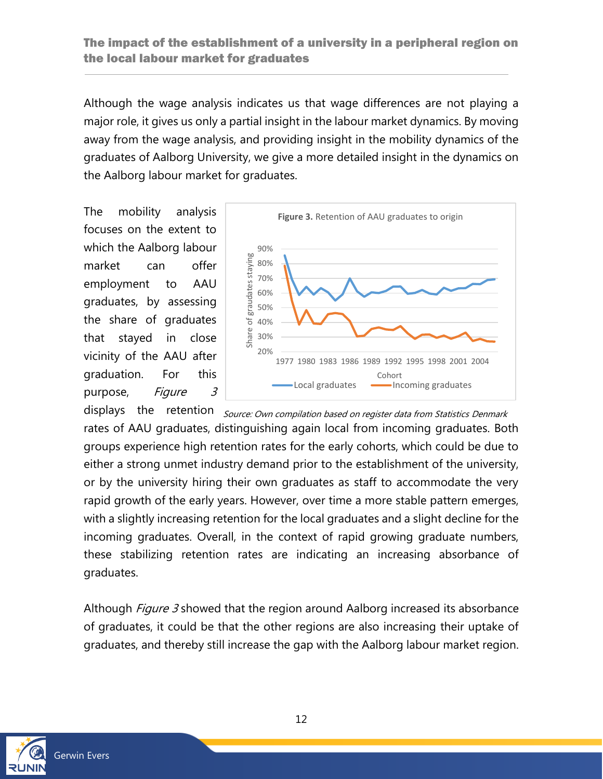Although the wage analysis indicates us that wage differences are not playing a major role, it gives us only a partial insight in the labour market dynamics. By moving away from the wage analysis, and providing insight in the mobility dynamics of the graduates of Aalborg University, we give a more detailed insight in the dynamics on the Aalborg labour market for graduates.

The mobility analysis focuses on the extent to which the Aalborg labour market can offer employment to AAU graduates, by assessing the share of graduates that stayed in close vicinity of the AAU after graduation. For this purpose, Figure 3



displays the retention *Source: Own compilation based on register data from Statistics Denmark* rates of AAU graduates, distinguishing again local from incoming graduates. Both groups experience high retention rates for the early cohorts, which could be due to either a strong unmet industry demand prior to the establishment of the university, or by the university hiring their own graduates as staff to accommodate the very rapid growth of the early years. However, over time a more stable pattern emerges, with a slightly increasing retention for the local graduates and a slight decline for the incoming graduates. Overall, in the context of rapid growing graduate numbers, these stabilizing retention rates are indicating an increasing absorbance of graduates.

Although *Figure 3* showed that the region around Aalborg increased its absorbance of graduates, it could be that the other regions are also increasing their uptake of graduates, and thereby still increase the gap with the Aalborg labour market region.

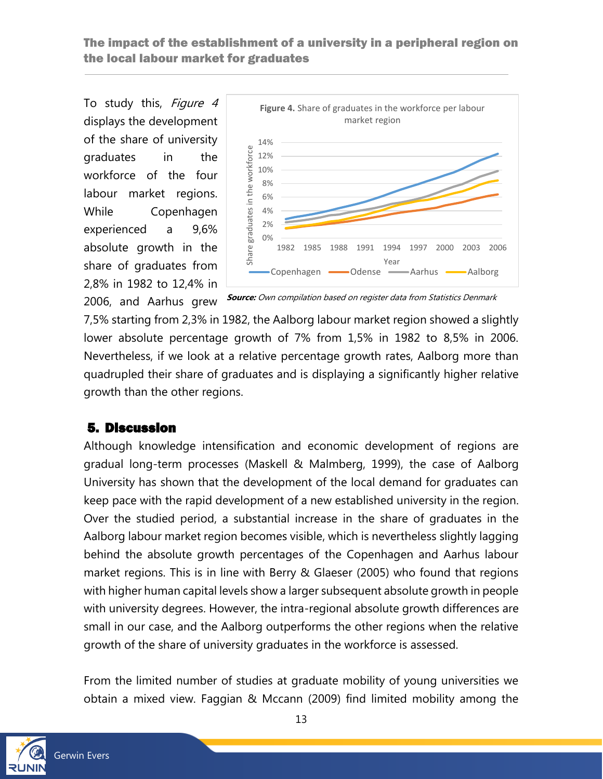To study this, Figure 4 displays the development of the share of university graduates in the workforce of the four labour market regions. While Copenhagen experienced a 9,6% absolute growth in the share of graduates from 2,8% in 1982 to 12,4% in 2006, and Aarhus grew



**Source:** Own compilation based on register data from Statistics Denmark

7,5% starting from 2,3% in 1982, the Aalborg labour market region showed a slightly lower absolute percentage growth of 7% from 1,5% in 1982 to 8,5% in 2006. Nevertheless, if we look at a relative percentage growth rates, Aalborg more than quadrupled their share of graduates and is displaying a significantly higher relative growth than the other regions.

# <span id="page-12-0"></span>5. Discussion

Although knowledge intensification and economic development of regions are gradual long-term processes (Maskell & Malmberg, 1999), the case of Aalborg University has shown that the development of the local demand for graduates can keep pace with the rapid development of a new established university in the region. Over the studied period, a substantial increase in the share of graduates in the Aalborg labour market region becomes visible, which is nevertheless slightly lagging behind the absolute growth percentages of the Copenhagen and Aarhus labour market regions. This is in line with Berry & Glaeser (2005) who found that regions with higher human capital levels show a larger subsequent absolute growth in people with university degrees. However, the intra-regional absolute growth differences are small in our case, and the Aalborg outperforms the other regions when the relative growth of the share of university graduates in the workforce is assessed.

From the limited number of studies at graduate mobility of young universities we obtain a mixed view. Faggian & Mccann (2009) find limited mobility among the

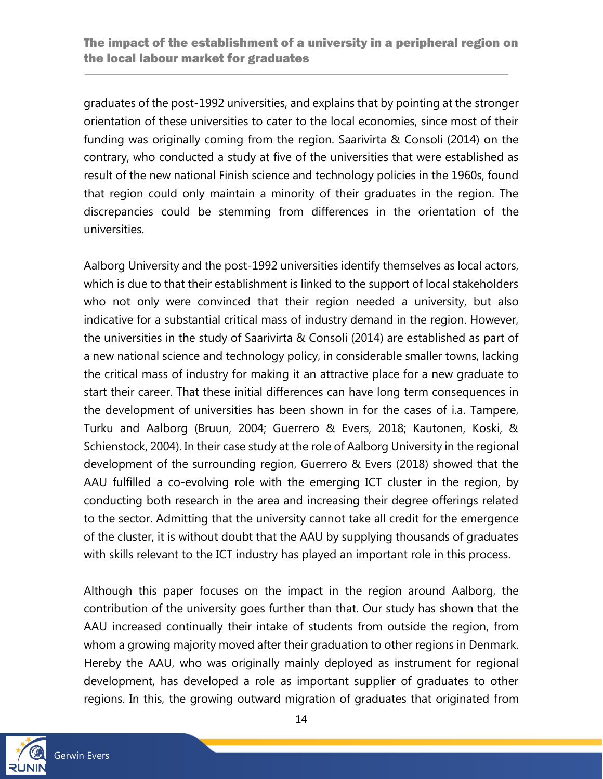graduates of the post-1992 universities, and explains that by pointing at the stronger orientation of these universities to cater to the local economies, since most of their funding was originally coming from the region. Saarivirta & Consoli (2014) on the contrary, who conducted a study at five of the universities that were established as result of the new national Finish science and technology policies in the 1960s, found that region could only maintain a minority of their graduates in the region. The discrepancies could be stemming from differences in the orientation of the universities.

Aalborg University and the post-1992 universities identify themselves as local actors, which is due to that their establishment is linked to the support of local stakeholders who not only were convinced that their region needed a university, but also indicative for a substantial critical mass of industry demand in the region. However, the universities in the study of Saarivirta & Consoli (2014) are established as part of a new national science and technology policy, in considerable smaller towns, lacking the critical mass of industry for making it an attractive place for a new graduate to start their career. That these initial differences can have long term consequences in the development of universities has been shown in for the cases of i.a. Tampere, Turku and Aalborg (Bruun, 2004; Guerrero & Evers, 2018; Kautonen, Koski, & Schienstock, 2004). In their case study at the role of Aalborg University in the regional development of the surrounding region, Guerrero & Evers (2018) showed that the AAU fulfilled a co-evolving role with the emerging ICT cluster in the region, by conducting both research in the area and increasing their degree offerings related to the sector. Admitting that the university cannot take all credit for the emergence of the cluster, it is without doubt that the AAU by supplying thousands of graduates with skills relevant to the ICT industry has played an important role in this process.

Although this paper focuses on the impact in the region around Aalborg, the contribution of the university goes further than that. Our study has shown that the AAU increased continually their intake of students from outside the region, from whom a growing majority moved after their graduation to other regions in Denmark. Hereby the AAU, who was originally mainly deployed as instrument for regional development, has developed a role as important supplier of graduates to other regions. In this, the growing outward migration of graduates that originated from

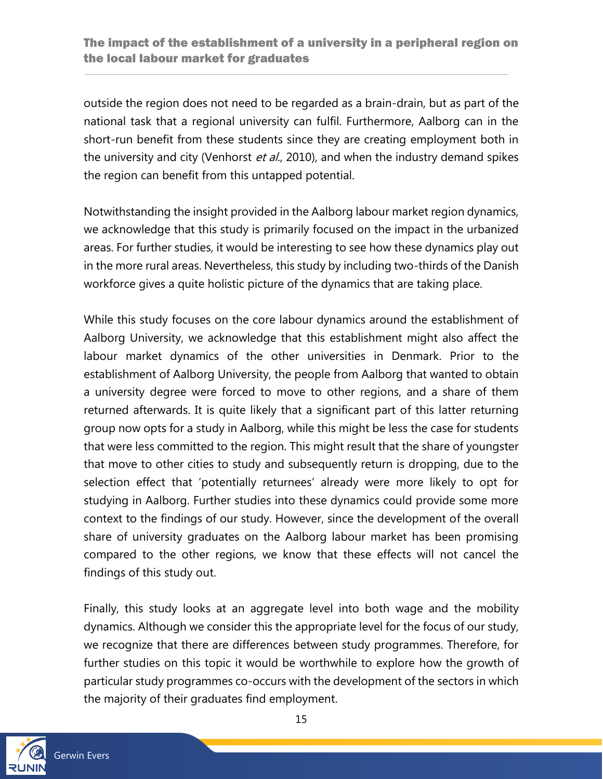outside the region does not need to be regarded as a brain-drain, but as part of the national task that a regional university can fulfil. Furthermore, Aalborg can in the short-run benefit from these students since they are creating employment both in the university and city (Venhorst et al., 2010), and when the industry demand spikes the region can benefit from this untapped potential.

Notwithstanding the insight provided in the Aalborg labour market region dynamics, we acknowledge that this study is primarily focused on the impact in the urbanized areas. For further studies, it would be interesting to see how these dynamics play out in the more rural areas. Nevertheless, this study by including two-thirds of the Danish workforce gives a quite holistic picture of the dynamics that are taking place.

While this study focuses on the core labour dynamics around the establishment of Aalborg University, we acknowledge that this establishment might also affect the labour market dynamics of the other universities in Denmark. Prior to the establishment of Aalborg University, the people from Aalborg that wanted to obtain a university degree were forced to move to other regions, and a share of them returned afterwards. It is quite likely that a significant part of this latter returning group now opts for a study in Aalborg, while this might be less the case for students that were less committed to the region. This might result that the share of youngster that move to other cities to study and subsequently return is dropping, due to the selection effect that 'potentially returnees' already were more likely to opt for studying in Aalborg. Further studies into these dynamics could provide some more context to the findings of our study. However, since the development of the overall share of university graduates on the Aalborg labour market has been promising compared to the other regions, we know that these effects will not cancel the findings of this study out.

Finally, this study looks at an aggregate level into both wage and the mobility dynamics. Although we consider this the appropriate level for the focus of our study, we recognize that there are differences between study programmes. Therefore, for further studies on this topic it would be worthwhile to explore how the growth of particular study programmes co-occurs with the development of the sectors in which the majority of their graduates find employment.

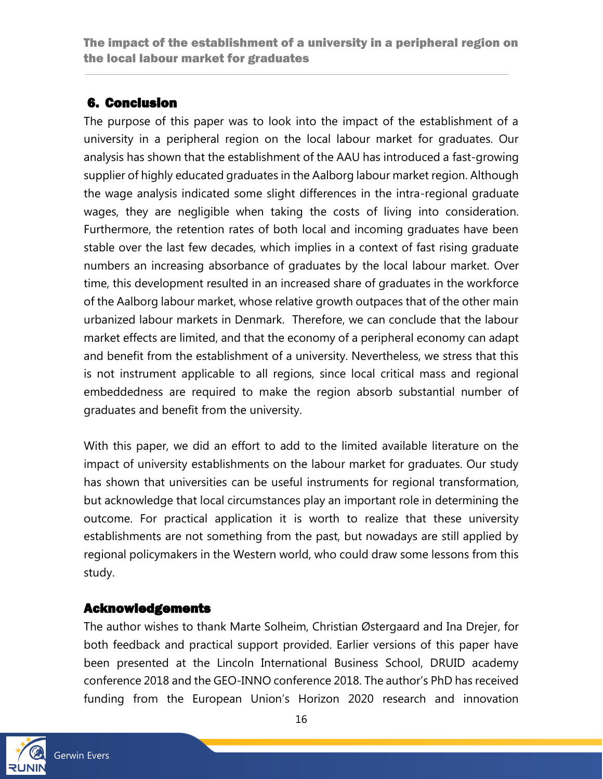# <span id="page-15-0"></span>6. Conclusion

The purpose of this paper was to look into the impact of the establishment of a university in a peripheral region on the local labour market for graduates. Our analysis has shown that the establishment of the AAU has introduced a fast-growing supplier of highly educated graduates in the Aalborg labour market region. Although the wage analysis indicated some slight differences in the intra-regional graduate wages, they are negligible when taking the costs of living into consideration. Furthermore, the retention rates of both local and incoming graduates have been stable over the last few decades, which implies in a context of fast rising graduate numbers an increasing absorbance of graduates by the local labour market. Over time, this development resulted in an increased share of graduates in the workforce of the Aalborg labour market, whose relative growth outpaces that of the other main urbanized labour markets in Denmark. Therefore, we can conclude that the labour market effects are limited, and that the economy of a peripheral economy can adapt and benefit from the establishment of a university. Nevertheless, we stress that this is not instrument applicable to all regions, since local critical mass and regional embeddedness are required to make the region absorb substantial number of graduates and benefit from the university.

With this paper, we did an effort to add to the limited available literature on the impact of university establishments on the labour market for graduates. Our study has shown that universities can be useful instruments for regional transformation, but acknowledge that local circumstances play an important role in determining the outcome. For practical application it is worth to realize that these university establishments are not something from the past, but nowadays are still applied by regional policymakers in the Western world, who could draw some lessons from this study.

### <span id="page-15-1"></span>Acknowledgements

The author wishes to thank Marte Solheim, Christian Østergaard and Ina Drejer, for both feedback and practical support provided. Earlier versions of this paper have been presented at the Lincoln International Business School, DRUID academy conference 2018 and the GEO-INNO conference 2018. The author's PhD has received funding from the European Union's Horizon 2020 research and innovation

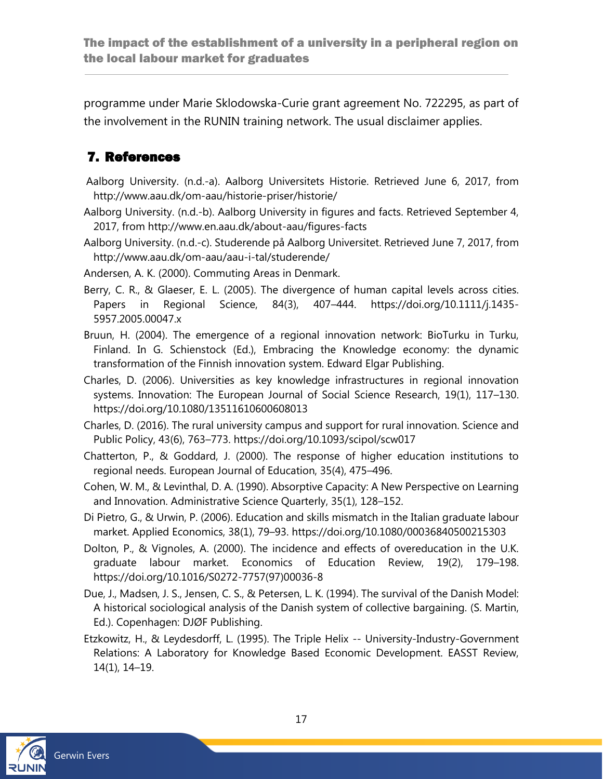programme under Marie Sklodowska-Curie grant agreement No. 722295, as part of the involvement in the RUNIN training network. The usual disclaimer applies.

# <span id="page-16-0"></span>7. References

- Aalborg University. (n.d.-a). Aalborg Universitets Historie. Retrieved June 6, 2017, from http://www.aau.dk/om-aau/historie-priser/historie/
- Aalborg University. (n.d.-b). Aalborg University in figures and facts. Retrieved September 4, 2017, from http://www.en.aau.dk/about-aau/figures-facts
- Aalborg University. (n.d.-c). Studerende på Aalborg Universitet. Retrieved June 7, 2017, from http://www.aau.dk/om-aau/aau-i-tal/studerende/
- Andersen, A. K. (2000). Commuting Areas in Denmark.
- Berry, C. R., & Glaeser, E. L. (2005). The divergence of human capital levels across cities. Papers in Regional Science, 84(3), 407–444. https://doi.org/10.1111/j.1435- 5957.2005.00047.x
- Bruun, H. (2004). The emergence of a regional innovation network: BioTurku in Turku, Finland. In G. Schienstock (Ed.), Embracing the Knowledge economy: the dynamic transformation of the Finnish innovation system. Edward Elgar Publishing.
- Charles, D. (2006). Universities as key knowledge infrastructures in regional innovation systems. Innovation: The European Journal of Social Science Research, 19(1), 117–130. https://doi.org/10.1080/13511610600608013
- Charles, D. (2016). The rural university campus and support for rural innovation. Science and Public Policy, 43(6), 763–773. https://doi.org/10.1093/scipol/scw017
- Chatterton, P., & Goddard, J. (2000). The response of higher education institutions to regional needs. European Journal of Education, 35(4), 475–496.
- Cohen, W. M., & Levinthal, D. A. (1990). Absorptive Capacity: A New Perspective on Learning and Innovation. Administrative Science Quarterly, 35(1), 128–152.
- Di Pietro, G., & Urwin, P. (2006). Education and skills mismatch in the Italian graduate labour market. Applied Economics, 38(1), 79–93. https://doi.org/10.1080/00036840500215303
- Dolton, P., & Vignoles, A. (2000). The incidence and effects of overeducation in the U.K. graduate labour market. Economics of Education Review, 19(2), 179–198. https://doi.org/10.1016/S0272-7757(97)00036-8
- Due, J., Madsen, J. S., Jensen, C. S., & Petersen, L. K. (1994). The survival of the Danish Model: A historical sociological analysis of the Danish system of collective bargaining. (S. Martin, Ed.). Copenhagen: DJØF Publishing.
- Etzkowitz, H., & Leydesdorff, L. (1995). The Triple Helix -- University-Industry-Government Relations: A Laboratory for Knowledge Based Economic Development. EASST Review, 14(1), 14–19.

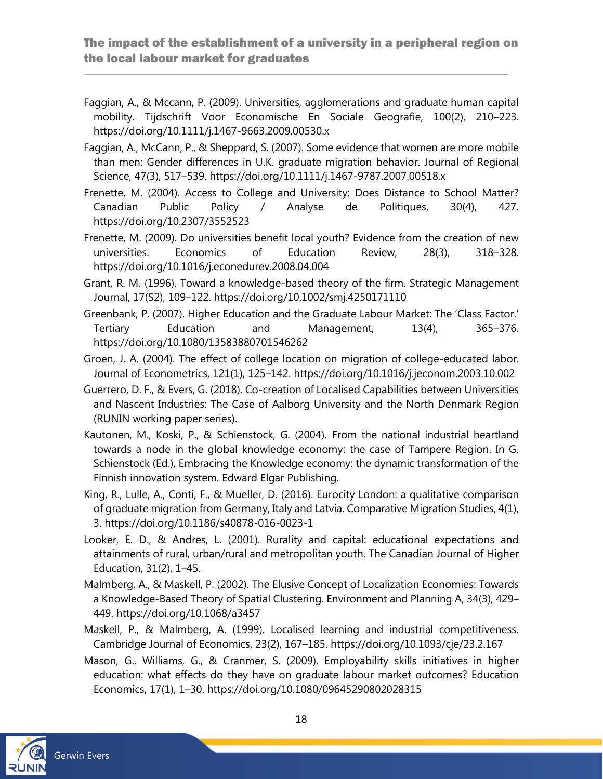- Faggian, A., & Mccann, P. (2009). Universities, agglomerations and graduate human capital mobility. Tijdschrift Voor Economische En Sociale Geografie, 100(2), 210–223. https://doi.org/10.1111/j.1467-9663.2009.00530.x
- Faggian, A., McCann, P., & Sheppard, S. (2007). Some evidence that women are more mobile than men: Gender differences in U.K. graduate migration behavior. Journal of Regional Science, 47(3), 517–539. https://doi.org/10.1111/j.1467-9787.2007.00518.x
- Frenette, M. (2004). Access to College and University: Does Distance to School Matter? Canadian Public Policy / Analyse de Politiques, 30(4), 427. https://doi.org/10.2307/3552523
- Frenette, M. (2009). Do universities benefit local youth? Evidence from the creation of new universities. Economics of Education Review, 28(3), 318–328. https://doi.org/10.1016/j.econedurev.2008.04.004
- Grant, R. M. (1996). Toward a knowledge-based theory of the firm. Strategic Management Journal, 17(S2), 109–122. https://doi.org/10.1002/smj.4250171110
- Greenbank, P. (2007). Higher Education and the Graduate Labour Market: The 'Class Factor.' Tertiary Education and Management, 13(4), 365–376. https://doi.org/10.1080/13583880701546262
- Groen, J. A. (2004). The effect of college location on migration of college-educated labor. Journal of Econometrics, 121(1), 125–142. https://doi.org/10.1016/j.jeconom.2003.10.002
- Guerrero, D. F., & Evers, G. (2018). Co-creation of Localised Capabilities between Universities and Nascent Industries: The Case of Aalborg University and the North Denmark Region (RUNIN working paper series).
- Kautonen, M., Koski, P., & Schienstock, G. (2004). From the national industrial heartland towards a node in the global knowledge economy: the case of Tampere Region. In G. Schienstock (Ed.), Embracing the Knowledge economy: the dynamic transformation of the Finnish innovation system. Edward Elgar Publishing.
- King, R., Lulle, A., Conti, F., & Mueller, D. (2016). Eurocity London: a qualitative comparison of graduate migration from Germany, Italy and Latvia. Comparative Migration Studies, 4(1), 3. https://doi.org/10.1186/s40878-016-0023-1
- Looker, E. D., & Andres, L. (2001). Rurality and capital: educational expectations and attainments of rural, urban/rural and metropolitan youth. The Canadian Journal of Higher Education, 31(2), 1–45.
- Malmberg, A., & Maskell, P. (2002). The Elusive Concept of Localization Economies: Towards a Knowledge-Based Theory of Spatial Clustering. Environment and Planning A, 34(3), 429– 449. https://doi.org/10.1068/a3457
- Maskell, P., & Malmberg, A. (1999). Localised learning and industrial competitiveness. Cambridge Journal of Economics, 23(2), 167–185. https://doi.org/10.1093/cje/23.2.167
- Mason, G., Williams, G., & Cranmer, S. (2009). Employability skills initiatives in higher education: what effects do they have on graduate labour market outcomes? Education Economics, 17(1), 1–30. https://doi.org/10.1080/09645290802028315